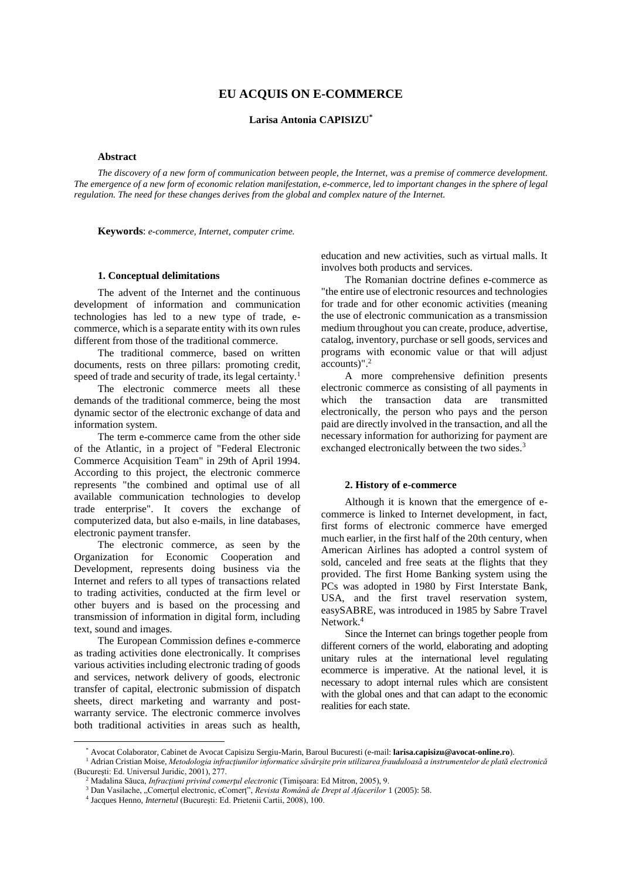# **EU ACQUIS ON E-COMMERCE**

**Larisa Antonia CAPISIZU\***

# **Abstract**

*The discovery of a new form of communication between people, the Internet, was a premise of commerce development. The emergence of a new form of economic relation manifestation, e-commerce, led to important changes in the sphere of legal regulation. The need for these changes derives from the global and complex nature of the Internet.*

**Keywords**: *e-commerce, Internet, computer crime.*

#### **1. Conceptual delimitations** \*

The advent of the Internet and the continuous development of information and communication technologies has led to a new type of trade, ecommerce, which is a separate entity with its own rules different from those of the traditional commerce.

The traditional commerce, based on written documents, rests on three pillars: promoting credit, speed of trade and security of trade, its legal certainty.<sup>1</sup>

The electronic commerce meets all these demands of the traditional commerce, being the most dynamic sector of the electronic exchange of data and information system.

The term e-commerce came from the other side of the Atlantic, in a project of "Federal Electronic Commerce Acquisition Team" in 29th of April 1994. According to this project, the electronic commerce represents "the combined and optimal use of all available communication technologies to develop trade enterprise". It covers the exchange of computerized data, but also e-mails, in line databases, electronic payment transfer.

The electronic commerce, as seen by the Organization for Economic Cooperation and Development, represents doing business via the Internet and refers to all types of transactions related to trading activities, conducted at the firm level or other buyers and is based on the processing and transmission of information in digital form, including text, sound and images.

The European Commission defines e-commerce as trading activities done electronically. It comprises various activities including electronic trading of goods and services, network delivery of goods, electronic transfer of capital, electronic submission of dispatch sheets, direct marketing and warranty and postwarranty service. The electronic commerce involves both traditional activities in areas such as health,

 $\overline{a}$ 

education and new activities, such as virtual malls. It involves both products and services.

The Romanian doctrine defines e-commerce as "the entire use of electronic resources and technologies for trade and for other economic activities (meaning the use of electronic communication as a transmission medium throughout you can create, produce, advertise, catalog, inventory, purchase or sell goods, services and programs with economic value or that will adjust accounts)".<sup>2</sup>

A more comprehensive definition presents electronic commerce as consisting of all payments in which the transaction data are transmitted electronically, the person who pays and the person paid are directly involved in the transaction, and all the necessary information for authorizing for payment are exchanged electronically between the two sides.<sup>3</sup>

### **2. History of e-commerce**

Although it is known that the emergence of ecommerce is linked to Internet development, in fact, first forms of electronic commerce have emerged much earlier, in the first half of the 20th century, when American Airlines has adopted a control system of sold, canceled and free seats at the flights that they provided. The first Home Banking system using the PCs was adopted in 1980 by First Interstate Bank, USA, and the first travel reservation system, easySABRE, was introduced in 1985 by Sabre Travel Network.<sup>4</sup>

Since the Internet can brings together people from different corners of the world, elaborating and adopting unitary rules at the international level regulating ecommerce is imperative. At the national level, it is necessary to adopt internal rules which are consistent with the global ones and that can adapt to the economic realities for each state.

<sup>\*</sup> Avocat Colaborator, Cabinet de Avocat Capisizu Sergiu-Marin, Baroul Bucuresti (e-mail: **larisa.capisizu@avocat-online.ro**).

<sup>1</sup> Adrian Cristian Moise, *Metodologia infracţiunilor informatice săvârşite prin utilizarea frauduloasă a instrumentelor de plată electronică* (Bucureşti: Ed. Universul Juridic, 2001), 277.

<sup>2</sup> Madalina Săuca, *Infracţiuni privind comerţul electronic* (Timişoara: Ed Mitron, 2005), 9.

<sup>&</sup>lt;sup>3</sup> Dan Vasilache, "Comerțul electronic, eComerț", *Revista Română de Drept al Afacerilor* 1 (2005): 58.

<sup>4</sup> Jacques Henno, *Internetul* (Bucureşti: Ed. Prietenii Cartii, 2008), 100.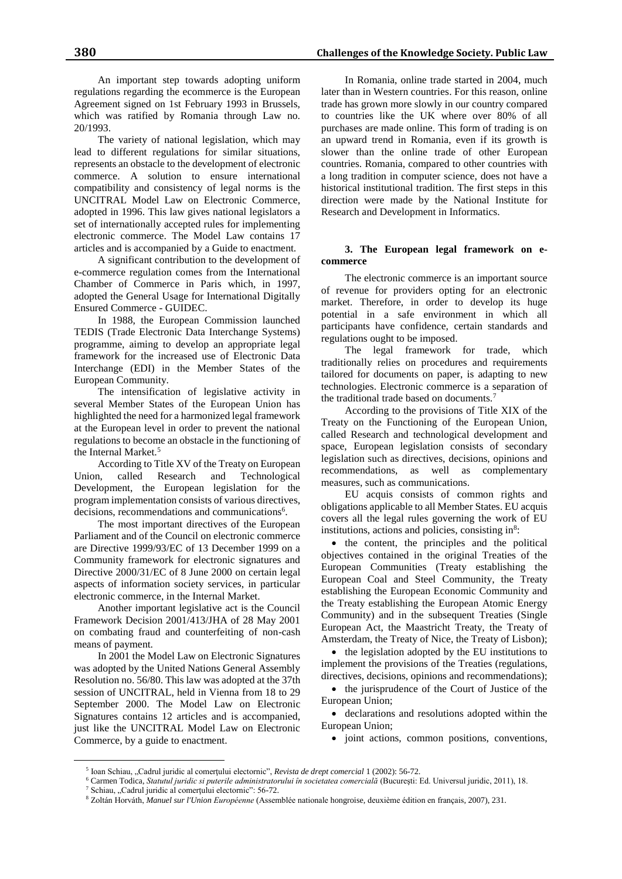An important step towards adopting uniform regulations regarding the ecommerce is the European Agreement signed on 1st February 1993 in Brussels, which was ratified by Romania through Law no. 20/1993.

The variety of national legislation, which may lead to different regulations for similar situations, represents an obstacle to the development of electronic commerce. A solution to ensure international compatibility and consistency of legal norms is the UNCITRAL Model Law on Electronic Commerce, adopted in 1996. This law gives national legislators a set of internationally accepted rules for implementing electronic commerce. The Model Law contains 17 articles and is accompanied by a Guide to enactment.

A significant contribution to the development of e-commerce regulation comes from the International Chamber of Commerce in Paris which, in 1997, adopted the General Usage for International Digitally Ensured Commerce - GUIDEC.

In 1988, the European Commission launched TEDIS (Trade Electronic Data Interchange Systems) programme, aiming to develop an appropriate legal framework for the increased use of Electronic Data Interchange (EDI) in the Member States of the European Community.

The intensification of legislative activity in several Member States of the European Union has highlighted the need for a harmonized legal framework at the European level in order to prevent the national regulations to become an obstacle in the functioning of the Internal Market.<sup>5</sup>

According to Title XV of the Treaty on European Union, called Research and Technological Development, the European legislation for the program implementation consists of various directives, decisions, recommendations and communications<sup>6</sup>.

The most important directives of the European Parliament and of the Council on electronic commerce are Directive 1999/93/EC of 13 December 1999 on a Community framework for electronic signatures and Directive 2000/31/EC of 8 June 2000 on certain legal aspects of information society services, in particular electronic commerce, in the Internal Market.

Another important legislative act is the Council Framework Decision 2001/413/JHA of 28 May 2001 on combating fraud and counterfeiting of non-cash means of payment.

In 2001 the Model Law on Electronic Signatures was adopted by the United Nations General Assembly Resolution no. 56/80. This law was adopted at the 37th session of UNCITRAL, held in Vienna from 18 to 29 September 2000. The Model Law on Electronic Signatures contains 12 articles and is accompanied, just like the UNCITRAL Model Law on Electronic Commerce, by a guide to enactment.

In Romania, online trade started in 2004, much later than in Western countries. For this reason, online trade has grown more slowly in our country compared to countries like the UK where over 80% of all purchases are made online. This form of trading is on an upward trend in Romania, even if its growth is slower than the online trade of other European countries. Romania, compared to other countries with a long tradition in computer science, does not have a historical institutional tradition. The first steps in this direction were made by the National Institute for Research and Development in Informatics.

# **3. The European legal framework on ecommerce**

The electronic commerce is an important source of revenue for providers opting for an electronic market. Therefore, in order to develop its huge potential in a safe environment in which all participants have confidence, certain standards and regulations ought to be imposed.

The legal framework for trade, which traditionally relies on procedures and requirements tailored for documents on paper, is adapting to new technologies. Electronic commerce is a separation of the traditional trade based on documents.<sup>7</sup>

According to the provisions of Title XIX of the Treaty on the Functioning of the European Union, called Research and technological development and space, European legislation consists of secondary legislation such as directives, decisions, opinions and recommendations, as well as complementary measures, such as communications.

EU acquis consists of common rights and obligations applicable to all Member States. EU acquis covers all the legal rules governing the work of EU institutions, actions and policies, consisting in<sup>8</sup>:

• the content, the principles and the political objectives contained in the original Treaties of the European Communities (Treaty establishing the European Coal and Steel Community, the Treaty establishing the European Economic Community and the Treaty establishing the European Atomic Energy Community) and in the subsequent Treaties (Single European Act, the Maastricht Treaty, the Treaty of Amsterdam, the Treaty of Nice, the Treaty of Lisbon);

• the legislation adopted by the EU institutions to implement the provisions of the Treaties (regulations, directives, decisions, opinions and recommendations);

• the jurisprudence of the Court of Justice of the European Union;

 declarations and resolutions adopted within the European Union;

 $\bullet$  joint actions, common positions, conventions,

<sup>6</sup> Carmen Todica, *Statutul juridic si puterile administratorului în societatea comercială* (Bucureşti: Ed. Universul juridic, 2011), 18.

 $\overline{a}$ 

<sup>5</sup> Ioan Schiau, "Cadrul juridic al comerţului electornic", *Revista de drept comercial* 1 (2002): 56-72.

<sup>&</sup>lt;sup>7</sup> Schiau, "Cadrul juridic al comerțului electornic": 56-72.

<sup>8</sup> Zoltán Horváth, *Manuel sur l'Union Européenne* (Assemblée nationale hongroise, deuxième édition en français, 2007), 231.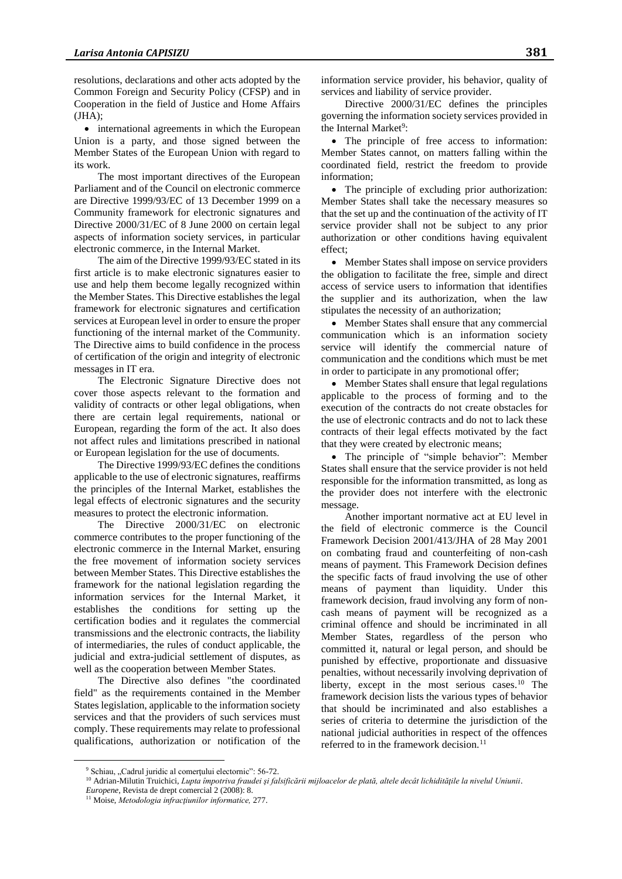resolutions, declarations and other acts adopted by the Common Foreign and Security Policy (CFSP) and in Cooperation in the field of Justice and Home Affairs  $(HA);$ 

• international agreements in which the European Union is a party, and those signed between the Member States of the European Union with regard to its work.

The most important directives of the European Parliament and of the Council on electronic commerce are Directive 1999/93/EC of 13 December 1999 on a Community framework for electronic signatures and Directive 2000/31/EC of 8 June 2000 on certain legal aspects of information society services, in particular electronic commerce, in the Internal Market.

The aim of the Directive 1999/93/EC stated in its first article is to make electronic signatures easier to use and help them become legally recognized within the Member States. This Directive establishes the legal framework for electronic signatures and certification services at European level in order to ensure the proper functioning of the internal market of the Community. The Directive aims to build confidence in the process of certification of the origin and integrity of electronic messages in IT era.

The Electronic Signature Directive does not cover those aspects relevant to the formation and validity of contracts or other legal obligations, when there are certain legal requirements, national or European, regarding the form of the act. It also does not affect rules and limitations prescribed in national or European legislation for the use of documents.

The Directive 1999/93/EC defines the conditions applicable to the use of electronic signatures, reaffirms the principles of the Internal Market, establishes the legal effects of electronic signatures and the security measures to protect the electronic information.

The Directive 2000/31/EC on electronic commerce contributes to the proper functioning of the electronic commerce in the Internal Market, ensuring the free movement of information society services between Member States. This Directive establishes the framework for the national legislation regarding the information services for the Internal Market, it establishes the conditions for setting up the certification bodies and it regulates the commercial transmissions and the electronic contracts, the liability of intermediaries, the rules of conduct applicable, the judicial and extra-judicial settlement of disputes, as well as the cooperation between Member States.

The Directive also defines "the coordinated field" as the requirements contained in the Member States legislation, applicable to the information society services and that the providers of such services must comply. These requirements may relate to professional qualifications, authorization or notification of the

information service provider, his behavior, quality of services and liability of service provider.

Directive 2000/31/EC defines the principles governing the information society services provided in the Internal Market<sup>9</sup>:

 The principle of free access to information: Member States cannot, on matters falling within the coordinated field, restrict the freedom to provide information;

• The principle of excluding prior authorization: Member States shall take the necessary measures so that the set up and the continuation of the activity of IT service provider shall not be subject to any prior authorization or other conditions having equivalent effect;

• Member States shall impose on service providers the obligation to facilitate the free, simple and direct access of service users to information that identifies the supplier and its authorization, when the law stipulates the necessity of an authorization;

 Member States shall ensure that any commercial communication which is an information society service will identify the commercial nature of communication and the conditions which must be met in order to participate in any promotional offer;

• Member States shall ensure that legal regulations applicable to the process of forming and to the execution of the contracts do not create obstacles for the use of electronic contracts and do not to lack these contracts of their legal effects motivated by the fact that they were created by electronic means;

 The principle of "simple behavior": Member States shall ensure that the service provider is not held responsible for the information transmitted, as long as the provider does not interfere with the electronic message.

Another important normative act at EU level in the field of electronic commerce is the Council Framework Decision 2001/413/JHA of 28 May 2001 on combating fraud and counterfeiting of non-cash means of payment. This Framework Decision defines the specific facts of fraud involving the use of other means of payment than liquidity. Under this framework decision, fraud involving any form of noncash means of payment will be recognized as a criminal offence and should be incriminated in all Member States, regardless of the person who committed it, natural or legal person, and should be punished by effective, proportionate and dissuasive penalties, without necessarily involving deprivation of liberty, except in the most serious cases.<sup>10</sup> The framework decision lists the various types of behavior that should be incriminated and also establishes a series of criteria to determine the jurisdiction of the national judicial authorities in respect of the offences referred to in the framework decision.<sup>11</sup>

 $\overline{a}$ 

<sup>&</sup>lt;sup>9</sup> Schiau, "Cadrul juridic al comerțului electornic": 56-72.

<sup>&</sup>lt;sup>10</sup> Adrian-Milutin Truichici, *Lupta împotriva fraudei și falsificării mijloacelor de plată, altele decât lichiditățile la nivelul Uniunii. Europene*, Revista de drept comercial 2 (2008): 8.

<sup>11</sup> Moise, *Metodologia infracţiunilor informatice,* 277.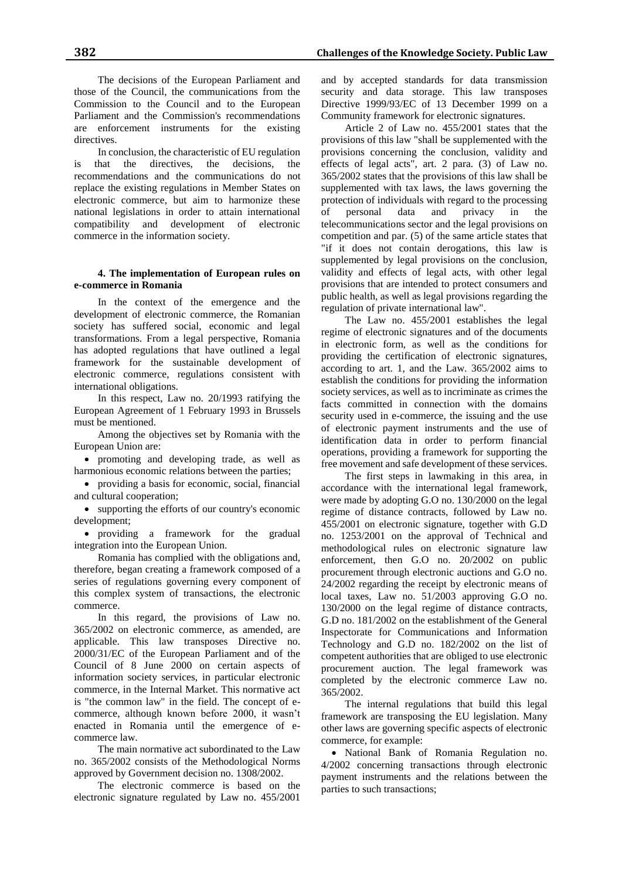The decisions of the European Parliament and those of the Council, the communications from the Commission to the Council and to the European Parliament and the Commission's recommendations are enforcement instruments for the existing directives.

In conclusion, the characteristic of EU regulation is that the directives, the decisions, the recommendations and the communications do not replace the existing regulations in Member States on electronic commerce, but aim to harmonize these national legislations in order to attain international compatibility and development of electronic commerce in the information society.

# **4. The implementation of European rules on e-commerce in Romania**

In the context of the emergence and the development of electronic commerce, the Romanian society has suffered social, economic and legal transformations. From a legal perspective, Romania has adopted regulations that have outlined a legal framework for the sustainable development of electronic commerce, regulations consistent with international obligations.

In this respect, Law no. 20/1993 ratifying the European Agreement of 1 February 1993 in Brussels must be mentioned.

Among the objectives set by Romania with the European Union are:

 promoting and developing trade, as well as harmonious economic relations between the parties;

 providing a basis for economic, social, financial and cultural cooperation;

 supporting the efforts of our country's economic development;

 providing a framework for the gradual integration into the European Union.

Romania has complied with the obligations and, therefore, began creating a framework composed of a series of regulations governing every component of this complex system of transactions, the electronic commerce.

In this regard, the provisions of Law no. 365/2002 on electronic commerce, as amended, are applicable. This law transposes Directive no. 2000/31/EC of the European Parliament and of the Council of 8 June 2000 on certain aspects of information society services, in particular electronic commerce, in the Internal Market. This normative act is "the common law" in the field. The concept of ecommerce, although known before 2000, it wasn't enacted in Romania until the emergence of ecommerce law.

The main normative act subordinated to the Law no. 365/2002 consists of the Methodological Norms approved by Government decision no. 1308/2002.

The electronic commerce is based on the electronic signature regulated by Law no. 455/2001

and by accepted standards for data transmission security and data storage. This law transposes Directive 1999/93/EC of 13 December 1999 on a Community framework for electronic signatures.

Article 2 of Law no. 455/2001 states that the provisions of this law "shall be supplemented with the provisions concerning the conclusion, validity and effects of legal acts", art. 2 para. (3) of Law no. 365/2002 states that the provisions of this law shall be supplemented with tax laws, the laws governing the protection of individuals with regard to the processing of personal data and privacy in the telecommunications sector and the legal provisions on competition and par. (5) of the same article states that "if it does not contain derogations, this law is supplemented by legal provisions on the conclusion, validity and effects of legal acts, with other legal provisions that are intended to protect consumers and public health, as well as legal provisions regarding the regulation of private international law".

The Law no. 455/2001 establishes the legal regime of electronic signatures and of the documents in electronic form, as well as the conditions for providing the certification of electronic signatures, according to art. 1, and the Law. 365/2002 aims to establish the conditions for providing the information society services, as well as to incriminate as crimes the facts committed in connection with the domains security used in e-commerce, the issuing and the use of electronic payment instruments and the use of identification data in order to perform financial operations, providing a framework for supporting the free movement and safe development of these services.

The first steps in lawmaking in this area, in accordance with the international legal framework, were made by adopting G.O no. 130/2000 on the legal regime of distance contracts, followed by Law no. 455/2001 on electronic signature, together with G.D no. 1253/2001 on the approval of Technical and methodological rules on electronic signature law enforcement, then G.O no. 20/2002 on public procurement through electronic auctions and G.O no. 24/2002 regarding the receipt by electronic means of local taxes, Law no. 51/2003 approving G.O no. 130/2000 on the legal regime of distance contracts, G.D no. 181/2002 on the establishment of the General Inspectorate for Communications and Information Technology and G.D no. 182/2002 on the list of competent authorities that are obliged to use electronic procurement auction. The legal framework was completed by the electronic commerce Law no. 365/2002.

The internal regulations that build this legal framework are transposing the EU legislation. Many other laws are governing specific aspects of electronic commerce, for example:

 National Bank of Romania Regulation no. 4/2002 concerning transactions through electronic payment instruments and the relations between the parties to such transactions;